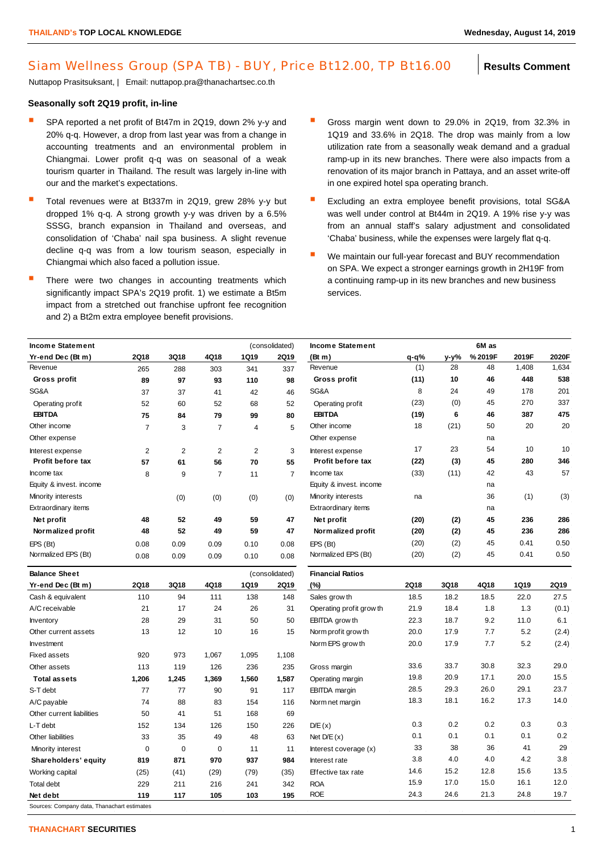## Siam Wellness Group (SPA TB) - BUY, Price Bt12.00, TP Bt16.00 | Results Comment

Nuttapop Prasitsuksant, | Email: nuttapop.pra@thanachartsec.co.th

## **Seasonally soft 2Q19 profit, in-line**

- SPA reported a net profit of Bt47m in 2Q19, down 2% y-y and 20% q-q. However, a drop from last year was from a change in accounting treatments and an environmental problem in Chiangmai. Lower profit q-q was on seasonal of a weak tourism quarter in Thailand. The result was largely in-line with our and the market's expectations.
- Total revenues were at Bt337m in 2Q19, grew 28% y-y but dropped 1% q-q. A strong growth y-y was driven by a 6.5% SSSG, branch expansion in Thailand and overseas, and consolidation of 'Chaba' nail spa business. A slight revenue decline q-q was from a low tourism season, especially in Chiangmai which also faced a pollution issue.
- There were two changes in accounting treatments which significantly impact SPA's 2Q19 profit. 1) we estimate a Bt5m impact from a stretched out franchise upfront fee recognition and 2) a Bt2m extra employee benefit provisions.
- Gross margin went down to 29.0% in 2Q19, from 32.3% in 1Q19 and 33.6% in 2Q18. The drop was mainly from a low utilization rate from a seasonally weak demand and a gradual ramp-up in its new branches. There were also impacts from a renovation of its major branch in Pattaya, and an asset write-off in one expired hotel spa operating branch.
- Excluding an extra employee benefit provisions, total SG&A was well under control at Bt44m in 2Q19. A 19% rise y-y was from an annual staff's salary adjustment and consolidated 'Chaba' business, while the expenses were largely flat q-q.
- We maintain our full-year forecast and BUY recommendation on SPA. We expect a stronger earnings growth in 2H19F from a continuing ramp-up in its new branches and new business services.

| <b>Income Statement</b><br>(consolidated) |                |             |                |              |                | <b>Income Statement</b>  |           | 6M as |        |       |       |  |
|-------------------------------------------|----------------|-------------|----------------|--------------|----------------|--------------------------|-----------|-------|--------|-------|-------|--|
| Yr-end Dec (Bt m)                         | 2Q18           | 3Q18        | 4Q18           | 1Q19         | <b>2Q19</b>    | (Bt m)                   | $q - q$ % | y-y%  | %2019F | 2019F | 2020F |  |
| Revenue                                   | 265            | 288         | 303            | 341          | 337            | Revenue                  | (1)       | 28    | 48     | 1,408 | 1,634 |  |
| Gross profit                              | 89             | 97          | 93             | 110          | 98             | Gross profit             | (11)      | 10    | 46     | 448   | 538   |  |
| SG&A                                      | 37             | 37          | 41             | 42           | 46             | SG&A                     | 8         | 24    | 49     | 178   | 201   |  |
| Operating profit                          | 52             | 60          | 52             | 68           | 52             | Operating profit         | (23)      | (0)   | 45     | 270   | 337   |  |
| <b>EBITDA</b>                             | 75             | 84          | 79             | 99           | 80             | <b>EBITDA</b>            | (19)      | 6     | 46     | 387   | 475   |  |
| Other income                              | $\overline{7}$ | 3           | $\overline{7}$ | 4            | 5              | Other income             | 18        | (21)  | 50     | 20    | 20    |  |
| Other expense                             |                |             |                |              |                | Other expense            |           |       | na     |       |       |  |
| Interest expense                          | $\overline{2}$ | 2           | $\mathbf{2}$   | $\mathbf{2}$ | 3              | Interest expense         | 17        | 23    | 54     | 10    | 10    |  |
| Profit before tax                         | 57             | 61          | 56             | 70           | 55             | Profit before tax        | (22)      | (3)   | 45     | 280   | 346   |  |
| Income tax                                | 8              | 9           | 7              | 11           | 7              | Income tax               | (33)      | (11)  | 42     | 43    | 57    |  |
| Equity & invest. income                   |                |             |                |              |                | Equity & invest. income  |           |       | na     |       |       |  |
| Minority interests                        |                | (0)         | (0)            | (0)          | (0)            | Minority interests       | na        |       | 36     | (1)   | (3)   |  |
| Extraordinary items                       |                |             |                |              |                | Extraordinary items      |           |       | na     |       |       |  |
| Net profit                                | 48             | 52          | 49             | 59           | 47             | Net profit               | (20)      | (2)   | 45     | 236   | 286   |  |
| Normalized profit                         | 48             | 52          | 49             | 59           | 47             | Normalized profit        | (20)      | (2)   | 45     | 236   | 286   |  |
| EPS (Bt)                                  | 0.08           | 0.09        | 0.09           | 0.10         | 0.08           | EPS (Bt)                 | (20)      | (2)   | 45     | 0.41  | 0.50  |  |
| Normalized EPS (Bt)                       | 0.08           | 0.09        | 0.09           | 0.10         | 0.08           | Normalized EPS (Bt)      | (20)      | (2)   | 45     | 0.41  | 0.50  |  |
| <b>Balance Sheet</b>                      |                |             |                |              | (consolidated) | <b>Financial Ratios</b>  |           |       |        |       |       |  |
| Yr-end Dec (Bt m)                         | <b>2Q18</b>    | 3Q18        | 4Q18           | 1Q19         | 2Q19           | (%)                      | 2Q18      | 3Q18  | 4Q18   | 1Q19  | 2Q19  |  |
| Cash & equivalent                         | 110            | 94          | 111            | 138          | 148            | Sales grow th            | 18.5      | 18.2  | 18.5   | 22.0  | 27.5  |  |
| A/C receivable                            | 21             | 17          | 24             | 26           | 31             | Operating profit grow th | 21.9      | 18.4  | 1.8    | 1.3   | (0.1) |  |
| Inventory                                 | 28             | 29          | 31             | 50           | 50             | EBITDA grow th           | 22.3      | 18.7  | 9.2    | 11.0  | 6.1   |  |
| Other current assets                      | 13             | 12          | 10             | 16           | 15             | Norm profit grow th      | 20.0      | 17.9  | 7.7    | 5.2   | (2.4) |  |
| Investment                                |                |             |                |              |                | Norm EPS grow th         | 20.0      | 17.9  | 7.7    | 5.2   | (2.4) |  |
| <b>Fixed assets</b>                       | 920            | 973         | 1,067          | 1,095        | 1,108          |                          |           |       |        |       |       |  |
| Other assets                              | 113            | 119         | 126            | 236          | 235            | Gross margin             | 33.6      | 33.7  | 30.8   | 32.3  | 29.0  |  |
| <b>Total assets</b>                       | 1,206          | 1,245       | 1,369          | 1,560        | 1,587          | Operating margin         | 19.8      | 20.9  | 17.1   | 20.0  | 15.5  |  |
| S-T debt                                  | 77             | 77          | 90             | 91           | 117            | <b>EBITDA</b> margin     | 28.5      | 29.3  | 26.0   | 29.1  | 23.7  |  |
| A/C payable                               | 74             | 88          | 83             | 154          | 116            | Norm net margin          | 18.3      | 18.1  | 16.2   | 17.3  | 14.0  |  |
| Other current liabilities                 | 50             | 41          | 51             | 168          | 69             |                          |           |       |        |       |       |  |
| L-T debt                                  | 152            | 134         | 126            | 150          | 226            | D/E(x)                   | 0.3       | 0.2   | 0.2    | 0.3   | 0.3   |  |
| Other liabilities                         | 33             | 35          | 49             | 48           | 63             | Net $D/E(x)$             | 0.1       | 0.1   | 0.1    | 0.1   | 0.2   |  |
| Minority interest                         | $\mathbf 0$    | $\mathbf 0$ | 0              | 11           | 11             | Interest coverage (x)    | 33        | 38    | 36     | 41    | 29    |  |
| Shareholders' equity                      | 819            | 871         | 970            | 937          | 984            | Interest rate            | 3.8       | 4.0   | 4.0    | 4.2   | 3.8   |  |
| Working capital                           | (25)           | (41)        | (29)           | (79)         | (35)           | Effective tax rate       | 14.6      | 15.2  | 12.8   | 15.6  | 13.5  |  |
|                                           |                |             |                |              |                |                          |           |       |        | 16.1  | 12.0  |  |
| <b>Total debt</b>                         | 229            | 211         | 216            | 241          | 342            | <b>ROA</b>               | 15.9      | 17.0  | 15.0   |       |       |  |